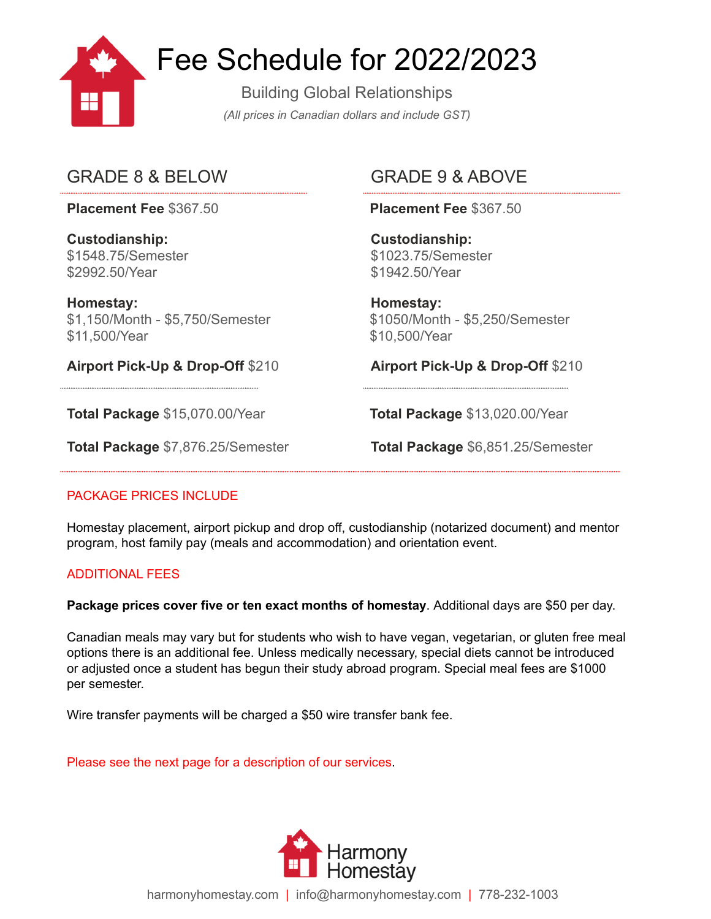

# Fee Schedule for 2022/2023

Building Global Relationships *(All prices in Canadian dollars and include GST)*

# GRADE 8 & BELOW GRADE 9 & ABOVE

**Placement Fee** \$367.50 **Placement Fee** \$367.50

**Custodianship:** \$1548.75/Semester \$2992.50/Year

**Homestay:** \$1,150/Month - \$5,750/Semester \$11,500/Year

\$1942.50/Year

**Custodianship:** \$1023.75/Semester

**Homestay:** \$1050/Month - \$5,250/Semester \$10,500/Year

**Airport Pick-Up & Drop-Off** \$210 **Airport Pick-Up & Drop-Off** \$210

**Total Package** \$15,070.00/Year **Total Package** \$13,020.00/Year

**Total Package** \$7,876.25/Semester **Total Package** \$6,851.25/Semester

## PACKAGE PRICES INCLUDE

Homestay placement, airport pickup and drop off, custodianship (notarized document) and mentor program, host family pay (meals and accommodation) and orientation event.

## ADDITIONAL FEES

**Package prices cover five or ten exact months of homestay**. Additional days are \$50 per day.

Canadian meals may vary but for students who wish to have vegan, vegetarian, or gluten free meal options there is an additional fee. Unless medically necessary, special diets cannot be introduced or adjusted once a student has begun their study abroad program. Special meal fees are \$1000 per semester.

Wire transfer payments will be charged a \$50 wire transfer bank fee.

Please see the next page for a description of our services.